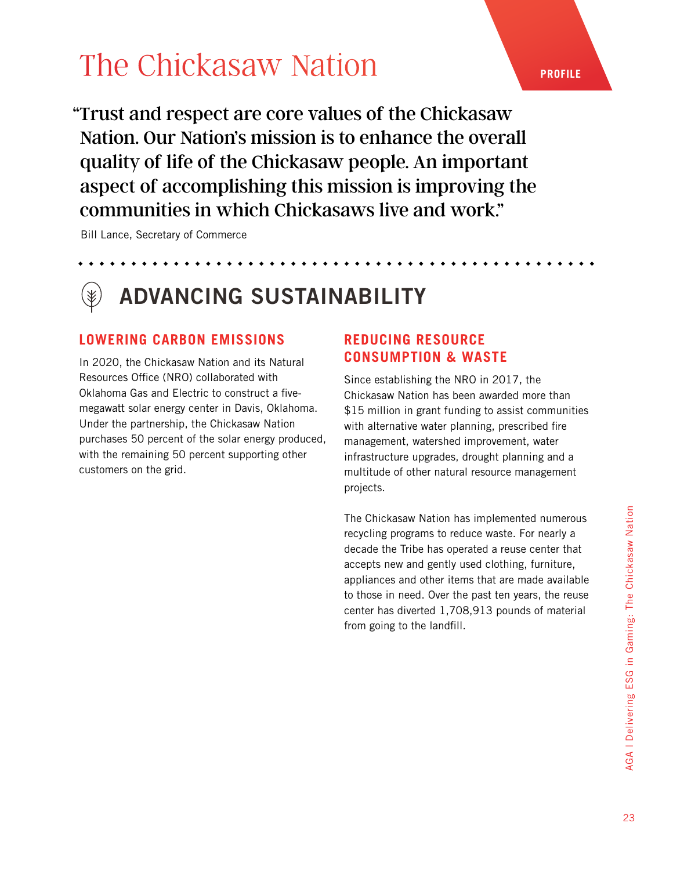"Trust and respect are core values of the Chickasaw Nation. Our Nation's mission is to enhance the overall quality of life of the Chickasaw people. An important aspect of accomplishing this mission is improving the communities in which Chickasaws live and work."

Bill Lance, Secretary of Commerce

### ADVANCING SUSTAINABILITY

### **LOWERING CARBON EMISSIONS REDUCING RESOURCE**

In 2020, the Chickasaw Nation and its Natural Resources Office (NRO) collaborated with Oklahoma Gas and Electric to construct a fivemegawatt solar energy center in Davis, Oklahoma. Under the partnership, the Chickasaw Nation purchases 50 percent of the solar energy produced, with the remaining 50 percent supporting other customers on the grid.

### **CONSUMPTION & WASTE**

Since establishing the NRO in 2017, the Chickasaw Nation has been awarded more than \$15 million in grant funding to assist communities with alternative water planning, prescribed fire management, watershed improvement, water infrastructure upgrades, drought planning and a multitude of other natural resource management projects.

The Chickasaw Nation has implemented numerous recycling programs to reduce waste. For nearly a decade the Tribe has operated a reuse center that accepts new and gently used clothing, furniture, appliances and other items that are made available to those in need. Over the past ten years, the reuse center has diverted 1,708,913 pounds of material from going to the landfill.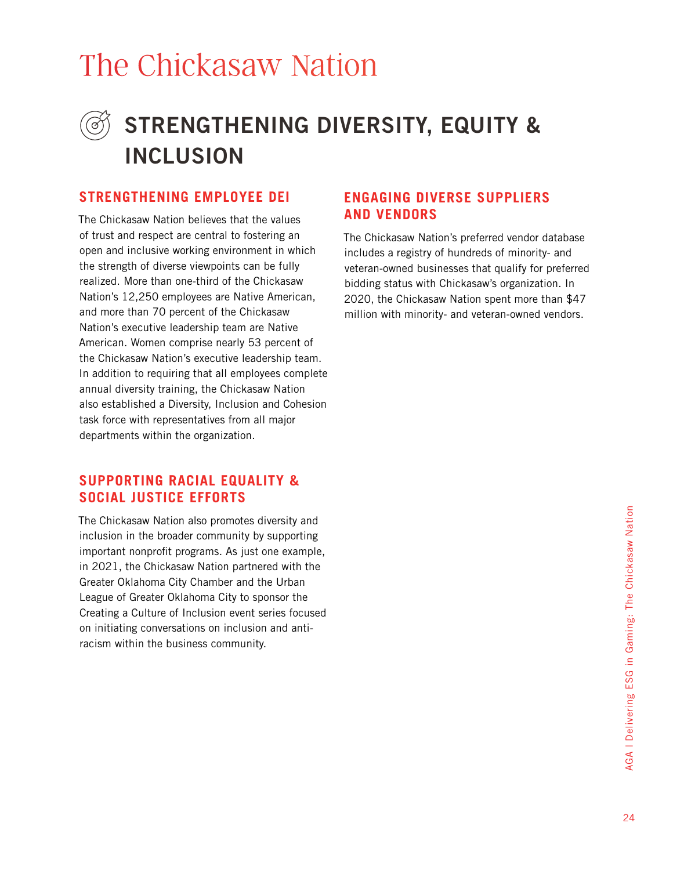### STRENGTHENING DIVERSITY, EQUITY & INCLUSION

### **STRENGTHENING EMPLOYEE DEI ENGAGING DIVERSE SUPPLIERS**

The Chickasaw Nation believes that the values of trust and respect are central to fostering an open and inclusive working environment in which the strength of diverse viewpoints can be fully realized. More than one-third of the Chickasaw Nation's 12,250 employees are Native American, and more than 70 percent of the Chickasaw Nation's executive leadership team are Native American. Women comprise nearly 53 percent of the Chickasaw Nation's executive leadership team. In addition to requiring that all employees complete annual diversity training, the Chickasaw Nation also established a Diversity, Inclusion and Cohesion task force with representatives from all major departments within the organization.

#### **SUPPORTING RACIAL EQUALITY & SOCIAL JUSTICE EFFORTS**

The Chickasaw Nation also promotes diversity and inclusion in the broader community by supporting important nonprofit programs. As just one example, in 2021, the Chickasaw Nation partnered with the Greater Oklahoma City Chamber and the Urban League of Greater Oklahoma City to sponsor the Creating a Culture of Inclusion event series focused on initiating conversations on inclusion and antiracism within the business community.

## **AND VENDORS**

The Chickasaw Nation's preferred vendor database includes a registry of hundreds of minority- and veteran-owned businesses that qualify for preferred bidding status with Chickasaw's organization. In 2020, the Chickasaw Nation spent more than \$47 million with minority- and veteran-owned vendors.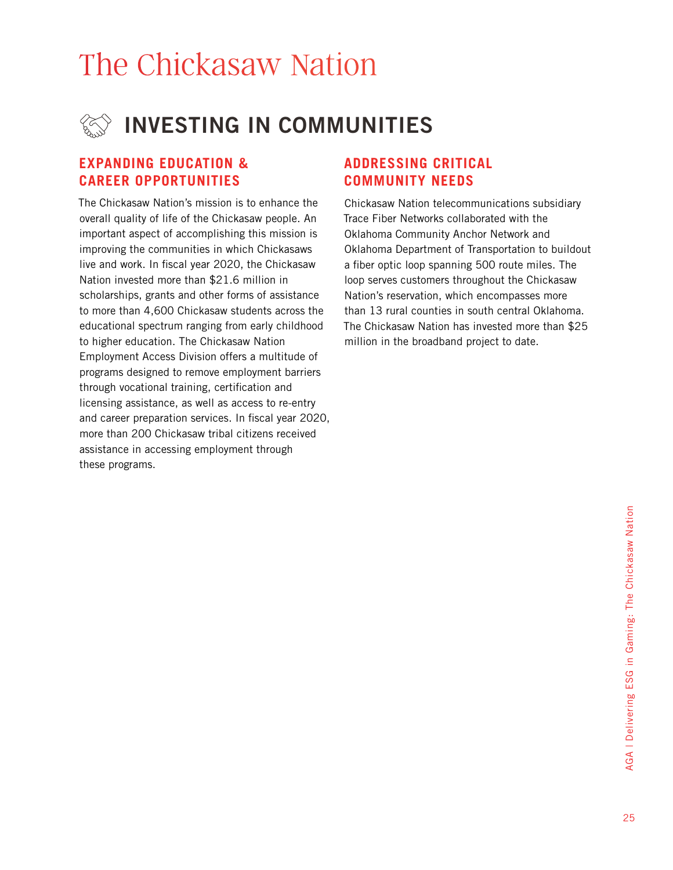

#### **EXPANDING EDUCATION & CAREER OPPORTUNITIES**

The Chickasaw Nation's mission is to enhance the overall quality of life of the Chickasaw people. An important aspect of accomplishing this mission is improving the communities in which Chickasaws live and work. In fiscal year 2020, the Chickasaw Nation invested more than \$21.6 million in scholarships, grants and other forms of assistance to more than 4,600 Chickasaw students across the educational spectrum ranging from early childhood to higher education. The Chickasaw Nation Employment Access Division offers a multitude of programs designed to remove employment barriers through vocational training, certification and licensing assistance, as well as access to re-entry and career preparation services. In fiscal year 2020, more than 200 Chickasaw tribal citizens received assistance in accessing employment through these programs.

#### **ADDRESSING CRITICAL COMMUNITY NEEDS**

Chickasaw Nation telecommunications subsidiary Trace Fiber Networks collaborated with the Oklahoma Community Anchor Network and Oklahoma Department of Transportation to buildout a fiber optic loop spanning 500 route miles. The loop serves customers throughout the Chickasaw Nation's reservation, which encompasses more than 13 rural counties in south central Oklahoma. The Chickasaw Nation has invested more than \$25 million in the broadband project to date.